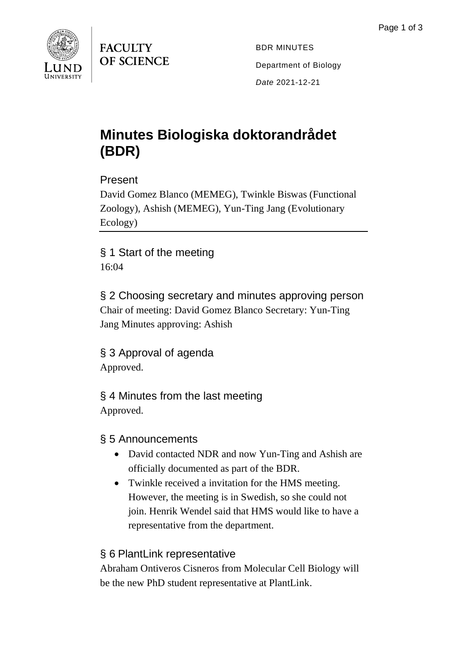

**FACULTY OF SCIENCE** 

BDR MINUTES Department of Biology *Date* 2021-12-21

# **Minutes Biologiska doktorandrådet (BDR)**

Present

David Gomez Blanco (MEMEG), Twinkle Biswas (Functional Zoology), Ashish (MEMEG), Yun-Ting Jang (Evolutionary Ecology)

§ 1 Start of the meeting 16:04

§ 2 Choosing secretary and minutes approving person Chair of meeting: David Gomez Blanco Secretary: Yun-Ting Jang Minutes approving: Ashish

§ 3 Approval of agenda Approved.

§ 4 Minutes from the last meeting Approved.

## § 5 Announcements

- David contacted NDR and now Yun-Ting and Ashish are officially documented as part of the BDR.
- Twinkle received a invitation for the HMS meeting. However, the meeting is in Swedish, so she could not join. Henrik Wendel said that HMS would like to have a representative from the department.

## § 6 PlantLink representative

Abraham Ontiveros Cisneros from Molecular Cell Biology will be the new PhD student representative at PlantLink.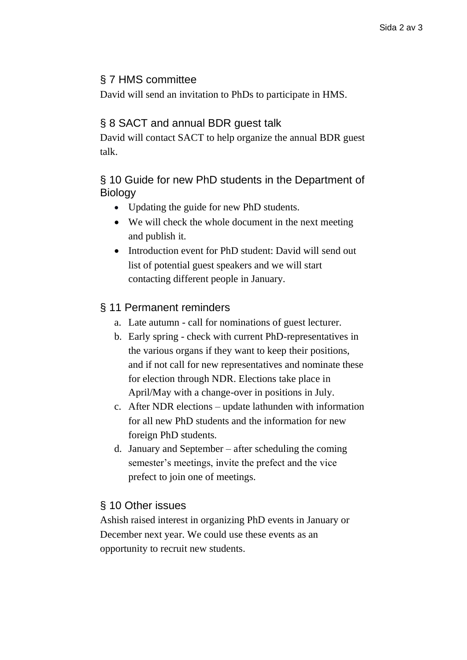#### § 7 HMS committee

David will send an invitation to PhDs to participate in HMS.

#### § 8 SACT and annual BDR guest talk

David will contact SACT to help organize the annual BDR guest talk.

#### § 10 Guide for new PhD students in the Department of Biology

- Updating the guide for new PhD students.
- We will check the whole document in the next meeting and publish it.
- Introduction event for PhD student: David will send out list of potential guest speakers and we will start contacting different people in January.

#### § 11 Permanent reminders

- a. Late autumn call for nominations of guest lecturer.
- b. Early spring check with current PhD-representatives in the various organs if they want to keep their positions, and if not call for new representatives and nominate these for election through NDR. Elections take place in April/May with a change-over in positions in July.
- c. After NDR elections update lathunden with information for all new PhD students and the information for new foreign PhD students.
- d. January and September after scheduling the coming semester's meetings, invite the prefect and the vice prefect to join one of meetings.

#### § 10 Other issues

Ashish raised interest in organizing PhD events in January or December next year. We could use these events as an opportunity to recruit new students.